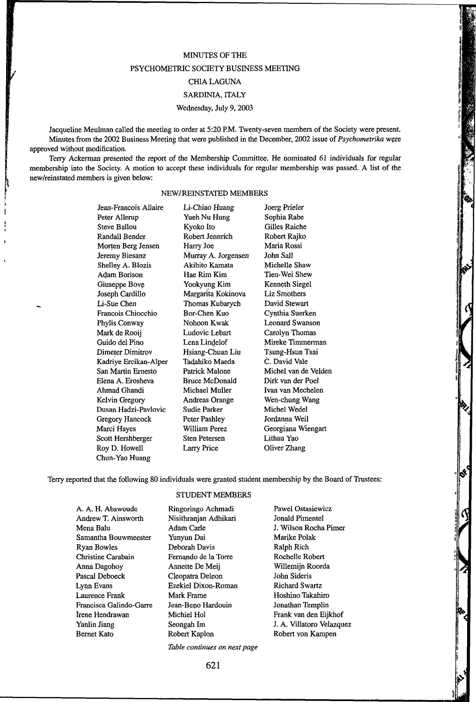# MINUTES OF THE PSYCHOMETRIC SOCIETY BUSINESS MEETING CHIA LAGUNA SARDINIA, ITALY

#### Wednesday, July 9, 2003

Jacqueline Meulman called the meeting to order at 5:20 P.M. Twenty-seven members of the Society were present. Minutes from the 2002 Business Meeting that were published in the December, 2002 issue of *Psychometrika* were approved without modification.

Terry Ackerman presented the report of the Membership Committee. He nominated 61 individuals for regular membership into the Society. A motion to accept these individuals for regular membership was passed. A list of the new/reinstated members is given below:

## NEW/REINSTATED MEMBERS

Jean-Francois Allaire Peter Allerup Steve Ballou Randall Bender Morten Berg Jensen Jeremy Biesanz Shelley A. Blozis Adam Borison Giuseppe Bove Joseph Cardillo Li-Sue Chen Francois Chiocchio Phylis Conway Mark de Rooij Guido del Pino Dimeter Dimitrov Kadriye Ercikan-Alper San Martin Ernesto Elena A. Erosheva Ahmad Ghandi Kelvin Gregory Dusan Hadzi-Pavlovic Gregory Hancock Marci Hayes Scott Hershberger Roy D. Howell Chun-Yao Huang

Li-Chiao Huang Yueh Nu Hung Kyoto Ito Robert Jennrich Harry Joe Murray A. Jorgensen Akihito Kamata Hae Rim Kim Yookyung Kim Margarita Kokinova Thomas Kubarych Bor-Chen Kuo Nohoon Kwak Ludovic Lebart Lena Lindelof Hsiang-Chuan Liu Tadahiko Maeda Patrick Malone Bruce McDonald Michael Muller Andreas Orange Sudie Parker Peter Pashley William Perez Sten Petersen Larry Price

Joerg Prieler Sophia Rabe Gilles Raiche Robert Rajko Maria Rossi John Sail Michelle Shaw Tien-Wei Shew Kenneth Siegel Liz Smothers David Stewart Cynthia Suerken Leonard Swanson Carolyn Thomas Mireke Timmerman Tsung-Hsun Tsai C. David Vale Michel van de Velden Dirk van der Poel Ivan van Mechelen Wen-chung Wang Michel Wedel Jordanna Weil Georgiana Wiengart Lithau Yao Oliver Zhang

Terry reported that the following 80 individuals were granted student membership by the Board of Trustees: STUDENT MEMBERS

#### A. A. H. Abswoude Andrew T. Ainsworth Mena Balu Samantha Bouwmeester Ryan Bowles Christine Carabain Anna Dagohoy Pascal Deboeck Lynn Evans Laurence Frank Francisca Galindo-Garre Irene Hendrawan Yanlin Jiang Bernet Kato Ringoringo Achmadi Nisithranjan Adhikari Adam Carle Yunyun Dai Deborah Davis Fernando de la Torre Annette De Meij Cleopatra Deleon Ezekiel Dixon-Roman Mark Frame Jean-Beno Hardouin Michiel Hoi Seongah Im Robert Kaplon

Pawel Ostasiewicz Jonald Pimentel J. Wilson Rocha Pimer Marike Polak Ralph Rich Rochelle Robert Willemijn Roorda John Sideris Richard Swartz Hoshino Takahiro Jonathan Templin Frank van den Eijkhof J. A. Villatoro Velazquez Robert yon Kampen

*Table continues on next page* 

621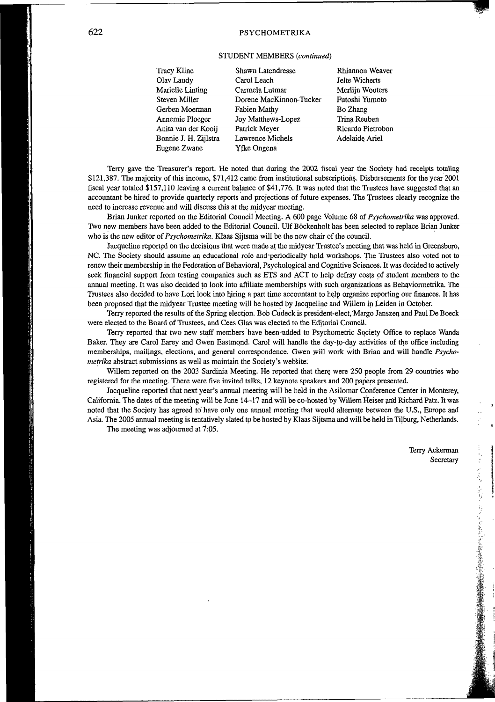## 622 PSYCHOMETRIKA

### STUDENT MEMBERS *(continued)*

Tracy Kline Olav Laudy Marielle Linting Steven Miller Gerben Moerman Annemie Ploeger Anita van der Kooij Bonnie J. H. Zijlstra Eugene Zwane

Shawn Latendresse Carol Leach Carmela Lutmar Dorene MacKinnon-Tucker Fabien Mathy Joy Matthews-Lopez Patrick Meyer Lawrence Michels Yfke Ongena

Rhiannon Weaver Jelte Wicherts Merlijn Wouters Futoshi Yumoto Bo Zhang Trina Reuben Ricardo Pietrobon Adelaide Ariel

Terry gave the Treasurer's report. He noted that during the 2002 fiscal year the Society had receipts totaling \$121,387. The majority of this income, \$71,412 came from institutional subscriptions. Disbursements for the year 2001 fiscal year totaled \$157,110 leaving a current balance of \$41,776. It was noted that the Trustees have suggested that an accountant be hired to provide quarterly reports and projections of future expenses. The Trustees clearly recognize the need to increase revenue and will discuss this at the midyear meeting.

Brian Junker reported on the Editorial Council Meeting. A 600 page Volume 68 of *Psychometrika* was approved. Two new members have been added to the Editorial Council. Ulf Böckenholt has been selected to replace Brian Junker who is the new editor of *Psychometrika.* Klaas Sijtsma will be the new chair of the council.

Jacqueline reported on the decisiqns that were made at the midyear Trustee's meeting that was held in Greensboro, NC. The Society should assume an educational role and periodically hold workshops. The Trustees also voted not to renew their membership in the Federation of Behavioral, Psychological and Cognitive Sciences. It was decided to actively seek financial support from testing companies such as ETS and ACT to help defray costs of student members to the annual meeting. It was also decided to look into affiliate memberships with such organizations as Behaviormetrika. The Trustees also decided to have Lori look into hiring a part time accountant to help organize reporting our finances. It has been proposed that the midyear Trustee meeting will be hosted by Jacqueline and Willem in Leiden in October.

Terry reported the results of the Spring election. Bob Cudeck is president-elect, "Margo Janszen and Paul De Boeck were elected to the Board of Trustees, and Cees Glas was elected to the Editorial Council.

Terry reported that two new staff members have been added to Psychometric Society Office to replace Wanda Baker. They are Carol Earey and Gwen Eastmond. Carol will handle the day-to-day activities of the office including memberships, mailings, elections, and general correspondence. Gwen will work with Brian and will handle *Psychometrika* abstract submissions as well as maintain the Society's website:

Willem reported on the 2003 Sardinia Meeting. He reported that there were 250 people from 29 countries who registered for the meeting. There were five invited talks, 12 keynote speakers and 200 papers presented.

Jacqueline reported that next year's annual meeting will be held in the Asilomar Conference. Center in Monterey, California. The dates of the meeting will be June 14-17 and will be co-hosted by Willem Heiser and Richard Patz. It was noted that the Society has agreed to' have only one annual meeting that would alternate between the U.S., Europe and Asia. The 2005 annual meeting is tentatively slated to be hosted by Klaas Sijtsma and will be held in Tijburg, Netherlands.

The meeting was adjourned at  $7:05$ .

Terry Ackerman Secretary